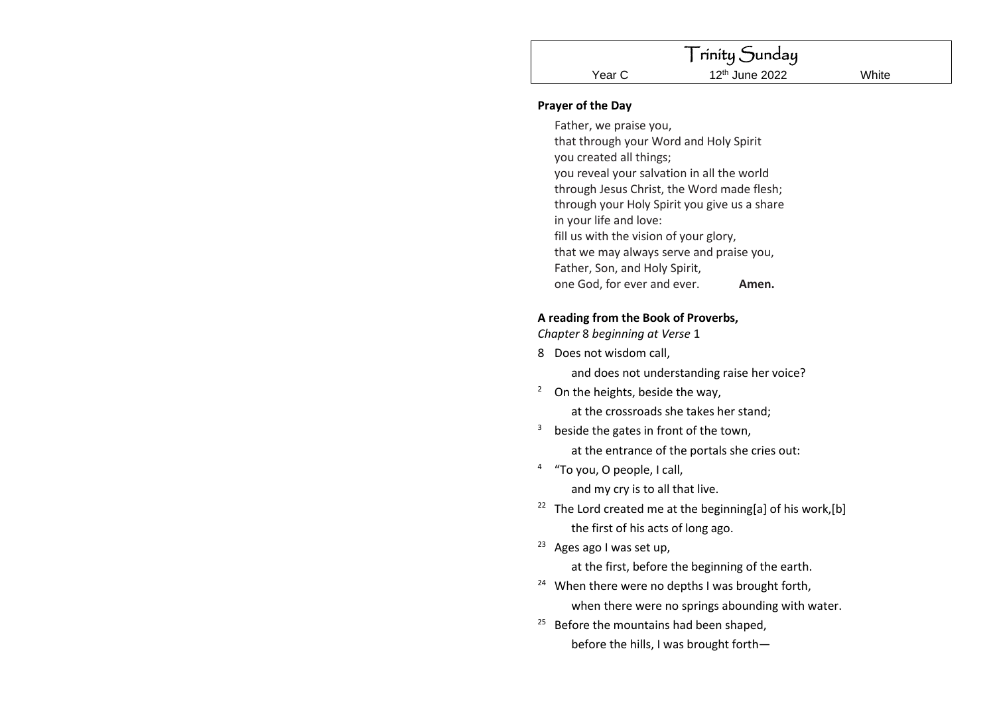### **Prayer of the Day**

Father, we praise you, that through your Word and Holy Spirit you created all things; you reveal your salvation in all the world through Jesus Christ, the Word made flesh; through your Holy Spirit you give us a share in your life and love: fill us with the vision of your glory, that we may always serve and praise you, Father, Son, and Holy Spirit, one God, for ever and ever. **Amen.**

### **A reading from the Book of Proverbs,**

*Chapter* 8 *beginning at Verse* 1

- 8 Does not wisdom call, and does not understanding raise her voice?
- $2$  On the heights, beside the way,

at the crossroads she takes her stand;

- $3$  beside the gates in front of the town, at the entrance of the portals she cries out:
- <sup>4</sup>"To you, O people, I call, and my cry is to all that live.
- <sup>22</sup> The Lord created me at the beginning[a] of his work,[b] the first of his acts of long ago.
- <sup>23</sup> Ages ago I was set up,

at the first, before the beginning of the earth.

- <sup>24</sup> When there were no depths I was brought forth, when there were no springs abounding with water.
- <sup>25</sup> Before the mountains had been shaped, before the hills, I was brought forth—